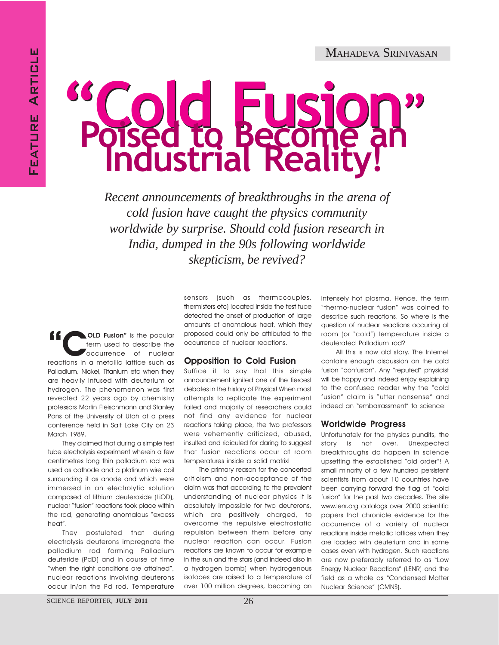# "Cold Fusion" Poised to Become an

*Recent announcements of breakthroughs in the arena of cold fusion have caught the physics community worldwide by surprise. Should cold fusion research in India, dumped in the 90s following worldwide skepticism, be revived?*

**CLD Fusion"** is the popular<br>
reactions in a metallic lattice such as<br>
reactions in a metallic lattice such as term used to describe the occurrence of nuclear Palladium, Nickel, Titanium etc when they are heavily infused with deuterium or hydrogen. The phenomenon was first revealed 22 years ago by chemistry professors Martin Fleischmann and Stanley Pons of the University of Utah at a press conference held in Salt Lake City on 23 March 1989.

They claimed that during a simple test tube electrolysis experiment wherein a few centimetres long thin palladium rod was used as cathode and a platinum wire coil surrounding it as anode and which were immersed in an electrolytic solution composed of lithium deuteroxide (LiOD), nuclear "fusion" reactions took place within the rod, generating anomalous "excess heat".

They postulated that during electrolysis deuterons impregnate the palladium rod forming Palladium deuteride (PdD) and in course of time "when the right conditions are attained", nuclear reactions involving deuterons occur in/on the Pd rod. Temperature sensors (such as thermocouples, thermisters etc) located inside the test tube detected the onset of production of large amounts of anomalous heat, which they proposed could only be attributed to the occurrence of nuclear reactions.

## Opposition to Cold Fusion

Suffice it to say that this simple announcement ignited one of the fiercest debates in the history of Physics! When most attempts to replicate the experiment failed and majority of researchers could not find any evidence for nuclear reactions taking place, the two professors were vehemently criticized, abused, insulted and ridiculed for daring to suggest that fusion reactions occur at room temperatures inside a solid matrix!

The primary reason for the concerted criticism and non-acceptance of the claim was that according to the prevalent understanding of nuclear physics it is absolutely impossible for two deuterons, which are positively charged, to overcome the repulsive electrostatic repulsion between them before any nuclear reaction can occur. Fusion reactions are known to occur for example in the sun and the stars (and indeed also in a hydrogen bomb) when hydrogenous isotopes are raised to a temperature of over 100 million degrees, becoming an intensely hot plasma. Hence, the term "thermo-nuclear fusion" was coined to describe such reactions. So where is the question of nuclear reactions occurring at room (or "cold") temperature inside a deuterated Palladium rod?

All this is now old story. The Internet contains enough discussion on the cold fusion "confusion". Any "reputed" physicist will be happy and indeed enjoy explaining to the confused reader why the "cold fusion" claim is "utter nonsense" and indeed an "embarrassment" to science!

## Worldwide Progress

Unfortunately for the physics pundits, the story is not over. Unexpected breakthroughs do happen in science upsetting the established "old order"! A small minority of a few hundred persistent scientists from about 10 countries have been carrying forward the flag of "cold fusion" for the past two decades. The site www.lenr.org catalogs over 2000 scientific papers that chronicle evidence for the occurrence of a variety of nuclear reactions inside metallic lattices when they are loaded with deuterium and in some cases even with hydrogen. Such reactions are now preferably referred to as "Low Energy Nuclear Reactions" (LENR) and the field as a whole as "Condensed Matter Nuclear Science" (CMNS).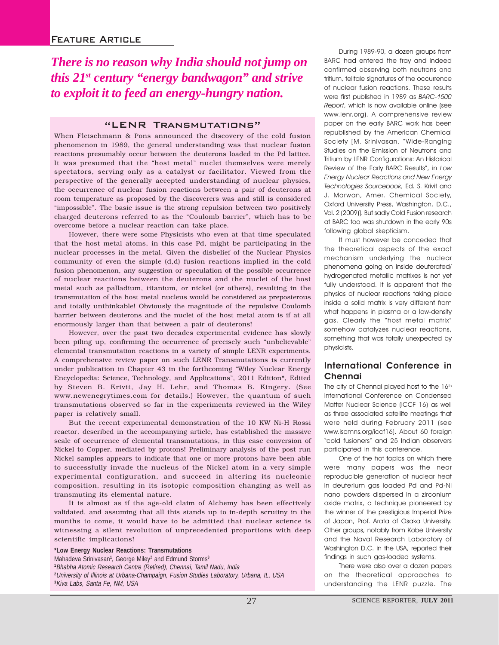*There is no reason why India should not jump on this 21st century "energy bandwagon" and strive to exploit it to feed an energy-hungry nation.*

### "LENR Transmutations"

When Fleischmann & Pons announced the discovery of the cold fusion phenomenon in 1989, the general understanding was that nuclear fusion reactions presumably occur between the deuterons loaded in the Pd lattice. It was presumed that the "host metal" nuclei themselves were merely spectators, serving only as a catalyst or facilitator. Viewed from the perspective of the generally accepted understanding of nuclear physics, the occurrence of nuclear fusion reactions between a pair of deuterons at room temperature as proposed by the discoverers was and still is considered "impossible". The basic issue is the strong repulsion between two positively charged deuterons referred to as the "Coulomb barrier", which has to be overcome before a nuclear reaction can take place.

However, there were some Physicists who even at that time speculated that the host metal atoms, in this case Pd, might be participating in the nuclear processes in the metal. Given the disbelief of the Nuclear Physics community of even the simple (d,d) fusion reactions implied in the cold fusion phenomenon, any suggestion or speculation of the possible occurrence of nuclear reactions between the deuterons and the nuclei of the host metal such as palladium, titanium, or nickel (or others), resulting in the transmutation of the host metal nucleus would be considered as preposterous and totally unthinkable! Obviously the magnitude of the repulsive Coulomb barrier between deuterons and the nuclei of the host metal atom is if at all enormously larger than that between a pair of deuterons!

However, over the past two decades experimental evidence has slowly been piling up, confirming the occurrence of precisely such "unbelievable" elemental transmutation reactions in a variety of simple LENR experiments. A comprehensive review paper on such LENR Transmutations is currently under publication in Chapter 43 in the forthcoming "Wiley Nuclear Energy Encyclopedia: Science, Technology, and Applications", 2011 Edition\*, Edited by Steven B. Krivit, Jay H. Lehr, and Thomas B. Kingery. (See www.newenegrytimes.com for details.) However, the quantum of such transmutations observed so far in the experiments reviewed in the Wiley paper is relatively small.

But the recent experimental demonstration of the 10 KW Ni-H Rossi reactor, described in the accompanying article, has established the massive scale of occurrence of elemental transmutations, in this case conversion of Nickel to Copper, mediated by protons! Preliminary analysis of the post run Nickel samples appears to indicate that one or more protons have been able to successfully invade the nucleus of the Nickel atom in a very simple experimental configuration, and succeed in altering its nucleonic composition, resulting in its isotopic composition changing as well as transmuting its elemental nature.

It is almost as if the age-old claim of Alchemy has been effectively validated, and assuming that all this stands up to in-depth scrutiny in the months to come, it would have to be admitted that nuclear science is witnessing a silent revolution of unprecedented proportions with deep scientific implications!

**\*Low Energy Nuclear Reactions: Transmutations** Mahadeva Srinivasan**<sup>1</sup>** , George Miley2 and Edmund Storms**<sup>3</sup> 1** Bhabha Atomic Research Centre (Retired), Chennai, Tamil Nadu, India **2** University of Illinois at Urbana-Champaign, Fusion Studies Laboratory, Urbana, IL, USA **3** Kiva Labs, Santa Fe, NM, USA

During 1989-90, a dozen groups from BARC had entered the fray and indeed confirmed observing both neutrons and tritium, telltale signatures of the occurrence of nuclear fusion reactions. These results were first published in 1989 as BARC-1500 Report, which is now available online (see www.lenr.org). A comprehensive review paper on the early BARC work has been republished by the American Chemical Society [M. Srinivasan, "Wide-Ranging Studies on the Emission of Neutrons and Tritium by LENR Configurations: An Historical Review of the Early BARC Results", in Low Energy Nuclear Reactions and New Energy Technologies Sourcebook, Ed. S. Krivit and J. Marwan, Amer. Chemical Society, Oxford University Press, Washington, D.C., Vol. 2 (2009)]. But sadly Cold Fusion research at BARC too was shutdown in the early 90s following global skepticism.

It must however be conceded that the theoretical aspects of the exact mechanism underlying the nuclear phenomena going on inside deuterated/ hydrogenated metallic matrixes is not yet fully understood. It is apparent that the physics of nuclear reactions taking place inside a solid matrix is very different from what happens in plasma or a low-density gas. Clearly the "host metal matrix" somehow catalyzes nuclear reactions, something that was totally unexpected by physicists.

# International Conference in Chennai

The city of Chennai played host to the 16th International Conference on Condensed Matter Nuclear Science (ICCF 16) as well as three associated satellite meetings that were held during February 2011 (see www.iscmns.org/iccf16). About 60 foreign "cold fusioners" and 25 Indian observers participated in this conference.

One of the hot topics on which there were many papers was the near reproducible generation of nuclear heat in deuterium gas loaded Pd and Pd-Ni nano powders dispersed in a zirconium oxide matrix, a technique pioneered by the winner of the prestigious Imperial Prize of Japan, Prof. Arata of Osaka University. Other groups, notably from Kobe University and the Naval Research Laboratory of Washington D.C. in the USA, reported their findings in such gas-loaded systems.

There were also over a dozen papers on the theoretical approaches to understanding the LENR puzzle. The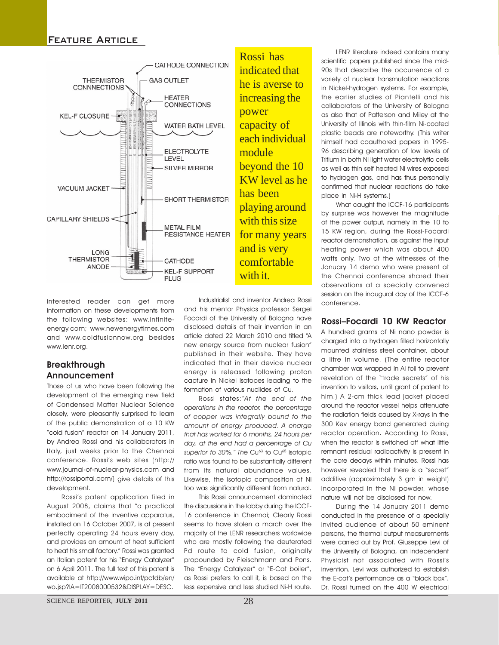

interested reader can get more information on these developments from the following websites: www.infiniteenergy.com; www.newenergytimes.com and www.coldfusionnow.org besides www.lenr.org.

# **Breakthrough** Announcement

Those of us who have been following the development of the emerging new field of Condensed Matter Nuclear Science closely, were pleasantly surprised to learn of the public demonstration of a 10 KW "cold fusion" reactor on 14 January 2011, by Andrea Rossi and his collaborators in Italy, just weeks prior to the Chennai conference. Rossi's web sites (http:// www.journal-of-nuclear-physics.com and http://rossiportal.com/) give details of this development.

Rossi's patent application filed in August 2008, claims that "a practical embodiment of the inventive apparatus, installed on 16 October 2007, is at present perfectly operating 24 hours every day, and provides an amount of heat sufficient to heat his small factory." Rossi was granted an Italian patent for his "Energy Catalyzer" on 6 April 2011. The full text of this patent is available at http://www.wipo.int/pctdb/en/ wo.jsp?IA=IT2008000532&DISPLAY=DESC.

Industrialist and inventor Andrea Rossi and his mentor Physics professor Sergei Focardi of the University of Bologna have disclosed details of their invention in an article dated 22 March 2010 and titled "A new energy source from nuclear fusion" published in their website. They have indicated that in their device nuclear energy is released following proton capture in Nickel isotopes leading to the formation of various nuclides of Cu.

Rossi states:"At the end of the operations in the reactor, the percentage of copper was integrally bound to the amount of energy produced. A charge that has worked for 6 months, 24 hours per day, at the end had a percentage of Cu superior to 30%." The Cu<sup>63</sup> to Cu<sup>65</sup> isotopic ratio was found to be substantially different from its natural abundance values. Likewise, the isotopic composition of Ni too was significantly different from natural.

This Rossi announcement dominated the discussions in the lobby during the ICCF-16 conference in Chennai; Clearly Rossi seems to have stolen a march over the majority of the LENR researchers worldwide who are mostly following the deuterated Pd route to cold fusion, originally propounded by Fleischmann and Pons. The "Energy Catalyzer" or "E-Cat boiler", as Rossi prefers to call it, is based on the less expensive and less studied Ni-H route.

LENR literature indeed contains many scientific papers published since the mid-90s that describe the occurrence of a variety of nuclear transmutation reactions in Nickel-hydrogen systems. For example, the earlier studies of Piantelli and his collaborators of the University of Bologna as also that of Patterson and Miley at the University of Illinois with thin-film Ni-coated plastic beads are noteworthy. (This writer himself had coauthored papers in 1995- 96 describing generation of low levels of Tritium in both Ni light water electrolytic cells as well as thin self heated Ni wires exposed to hydrogen gas, and has thus personally confirmed that nuclear reactions do take place in Ni-H systems.)

What caught the ICCF-16 participants by surprise was however the magnitude of the power output, namely in the 10 to 15 KW region, during the Rossi-Focardi reactor demonstration, as against the input heating power which was about 400 watts only. Two of the witnesses of the January 14 demo who were present at the Chennai conference shared their observations at a specially convened session on the inaugural day of the ICCF-6 conference.

# Rossi–Focardi 10 KW Reactor

A hundred grams of Ni nano powder is charged into a hydrogen filled horizontally mounted stainless steel container, about a litre in volume. (The entire reactor chamber was wrapped in Al foil to prevent revelation of the "trade secrets" of his invention to visitors, until grant of patent to him.) A 2-cm thick lead jacket placed around the reactor vessel helps attenuate the radiation fields caused by X-rays in the 300 Kev energy band generated during reactor operation. According to Rossi, when the reactor is switched off what little remnant residual radioactivity is present in the core decays within minutes. Rossi has however revealed that there is a "secret" additive (approximately 3 gm in weight) incorporated in the Ni powder, whose nature will not be disclosed for now.

During the 14 January 2011 demo conducted in the presence of a specially invited audience of about 50 eminent persons, the thermal output measurements were carried out by Prof. Giuseppe Levi of the University of Bologna, an independent Physicist not associated with Rossi's invention. Levi was authorized to establish the E-cat's performance as a "black box". Dr. Rossi turned on the 400 W electrical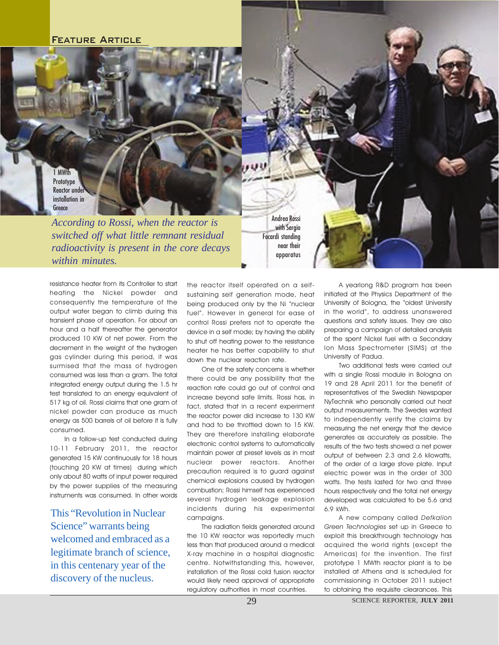1 MWth **Prototype** Reactor under installation in Greece

*According to Rossi, when the reactor is switched off what little remnant residual radioactivity is present in the core decays within minutes.*

Andrea Rossi with Sergio Focardi standing near their apparatus

resistance heater from its Controller to start heating the Nickel powder and consequently the temperature of the output water began to climb during this transient phase of operation. For about an hour and a half thereafter the generator produced 10 KW of net power. From the decrement in the weight of the hydrogen gas cylinder during this period, it was surmised that the mass of hydrogen consumed was less than a gram. The total integrated energy output during the 1.5 hr test translated to an energy equivalent of 517 kg of oil. Rossi claims that one gram of nickel powder can produce as much energy as 500 barrels of oil before it is fully consumed.

In a follow-up test conducted during 10-11 February 2011, the reactor generated 15 KW continuously for 18 hours (touching 20 KW at times) during which only about 80 watts of input power required by the power supplies of the measuring instruments was consumed. In other words

This "Revolution in Nuclear Science" warrants being welcomed and embraced as a legitimate branch of science, in this centenary year of the discovery of the nucleus.

the reactor itself operated on a selfsustaining self generation mode, heat being produced only by the Ni "nuclear fuel". However in general for ease of control Rossi prefers not to operate the device in a self mode; by having the ability to shut off heating power to the resistance heater he has better capability to shut down the nuclear reaction rate.

One of the safety concerns is whether there could be any possibility that the reaction rate could go out of control and increase beyond safe limits. Rossi has, in fact, stated that in a recent experiment the reactor power did increase to 130 KW and had to be throttled down to 15 KW. They are therefore installing elaborate electronic control systems to automatically maintain power at preset levels as in most nuclear power reactors. Another precaution required is to guard against chemical explosions caused by hydrogen combustion; Rossi himself has experienced several hydrogen leakage explosion incidents during his experimental campaigns.

The radiation fields generated around the 10 KW reactor was reportedly much less than that produced around a medical X-ray machine in a hospital diagnostic centre. Notwithstanding this, however, installation of the Rossi cold fusion reactor would likely need approval of appropriate regulatory authorities in most countries.

A yearlong R&D program has been initiated at the Physics Department of the University of Bologna, the "oldest University in the world", to address unanswered questions and safety issues. They are also preparing a campaign of detailed analysis of the spent Nickel fuel with a Secondary Ion Mass Spectrometer (SIMS) at the University of Padua.

Two additional tests were carried out with a single Rossi module in Bologna on 19 and 28 April 2011 for the benefit of representatives of the Swedish Newspaper NyTechnik who personally carried out heat output measurements. The Swedes wanted to independently verify the claims by measuring the net energy that the device generates as accurately as possible. The results of the two tests showed a net power output of between 2.3 and 2.6 kilowatts, of the order of a large stove plate. Input electric power was in the order of 300 watts. The tests lasted for two and three hours respectively and the total net energy developed was calculated to be 5.6 and 6.9 kWh.

A new company called Defkalion Green Technologies set up in Greece to exploit this breakthrough technology has acquired the world rights (except the Americas) for the invention. The first prototype 1 MWth reactor plant is to be installed at Athens and is scheduled for commissioning in October 2011 subject to obtaining the requisite clearances. This